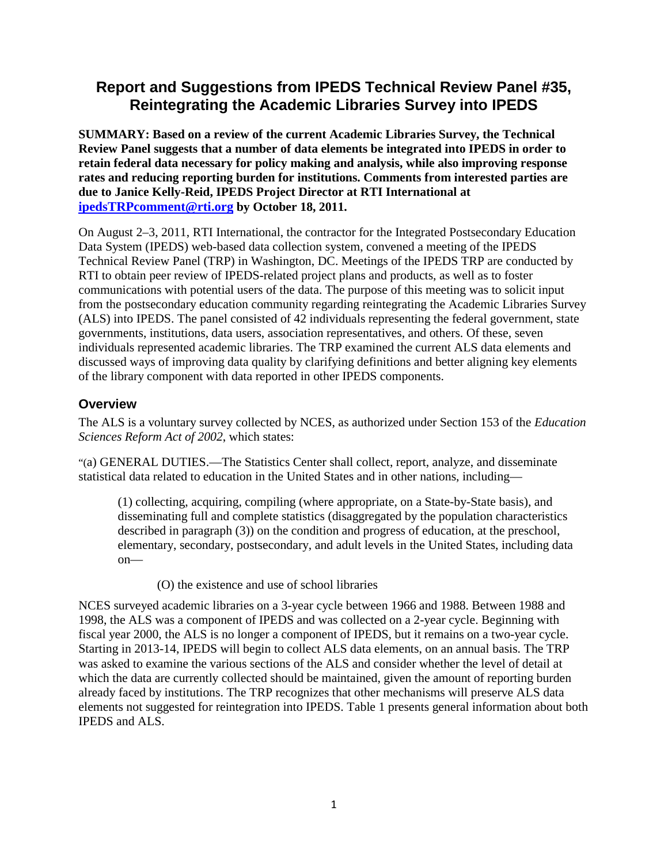# **Report and Suggestions from IPEDS Technical Review Panel #35, Reintegrating the Academic Libraries Survey into IPEDS**

**SUMMARY: Based on a review of the current Academic Libraries Survey, the Technical Review Panel suggests that a number of data elements be integrated into IPEDS in order to retain federal data necessary for policy making and analysis, while also improving response rates and reducing reporting burden for institutions. Comments from interested parties are due to Janice Kelly-Reid, IPEDS Project Director at RTI International at [ipedsTRPcomment@rti.org](mailto:ipedsTRPcomment@rti.org) by October 18, 2011.**

On August 2–3, 2011, RTI International, the contractor for the Integrated Postsecondary Education Data System (IPEDS) web-based data collection system, convened a meeting of the IPEDS Technical Review Panel (TRP) in Washington, DC. Meetings of the IPEDS TRP are conducted by RTI to obtain peer review of IPEDS-related project plans and products, as well as to foster communications with potential users of the data. The purpose of this meeting was to solicit input from the postsecondary education community regarding reintegrating the Academic Libraries Survey (ALS) into IPEDS. The panel consisted of 42 individuals representing the federal government, state governments, institutions, data users, association representatives, and others. Of these, seven individuals represented academic libraries. The TRP examined the current ALS data elements and discussed ways of improving data quality by clarifying definitions and better aligning key elements of the library component with data reported in other IPEDS components.

# **Overview**

The ALS is a voluntary survey collected by NCES, as authorized under Section 153 of the *Education Sciences Reform Act of 2002*, which states:

"(a) GENERAL DUTIES.—The Statistics Center shall collect, report, analyze, and disseminate statistical data related to education in the United States and in other nations, including—

(1) collecting, acquiring, compiling (where appropriate, on a State-by-State basis), and disseminating full and complete statistics (disaggregated by the population characteristics described in paragraph (3)) on the condition and progress of education, at the preschool, elementary, secondary, postsecondary, and adult levels in the United States, including data on—

### (O) the existence and use of school libraries

NCES surveyed academic libraries on a 3-year cycle between 1966 and 1988. Between 1988 and 1998, the ALS was a component of IPEDS and was collected on a 2-year cycle. Beginning with fiscal year 2000, the ALS is no longer a component of IPEDS, but it remains on a two-year cycle. Starting in 2013-14, IPEDS will begin to collect ALS data elements, on an annual basis. The TRP was asked to examine the various sections of the ALS and consider whether the level of detail at which the data are currently collected should be maintained, given the amount of reporting burden already faced by institutions. The TRP recognizes that other mechanisms will preserve ALS data elements not suggested for reintegration into IPEDS. Table 1 presents general information about both IPEDS and ALS.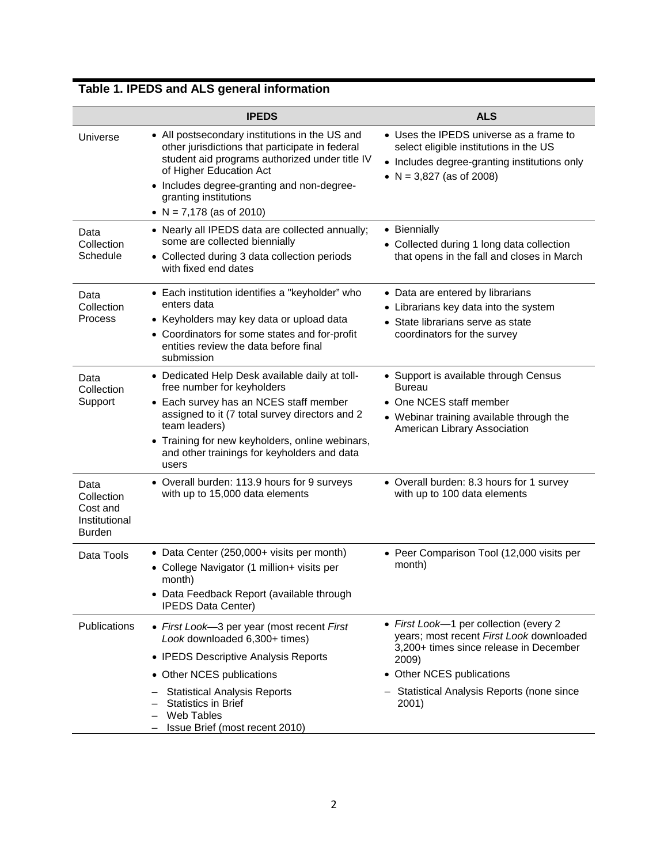|                                                                  | <b>IPEDS</b>                                                                                                                                                                                                                                                                                         | <b>ALS</b>                                                                                                                                                                                                                         |
|------------------------------------------------------------------|------------------------------------------------------------------------------------------------------------------------------------------------------------------------------------------------------------------------------------------------------------------------------------------------------|------------------------------------------------------------------------------------------------------------------------------------------------------------------------------------------------------------------------------------|
| Universe                                                         | • All postsecondary institutions in the US and<br>other jurisdictions that participate in federal<br>student aid programs authorized under title IV<br>of Higher Education Act<br>• Includes degree-granting and non-degree-<br>granting institutions<br>• $N = 7,178$ (as of 2010)                  | • Uses the IPEDS universe as a frame to<br>select eligible institutions in the US<br>• Includes degree-granting institutions only<br>• $N = 3,827$ (as of 2008)                                                                    |
| Data<br>Collection<br>Schedule                                   | • Nearly all IPEDS data are collected annually;<br>some are collected biennially<br>• Collected during 3 data collection periods<br>with fixed end dates                                                                                                                                             | • Biennially<br>• Collected during 1 long data collection<br>that opens in the fall and closes in March                                                                                                                            |
| Data<br>Collection<br>Process                                    | • Each institution identifies a "keyholder" who<br>enters data<br>• Keyholders may key data or upload data<br>• Coordinators for some states and for-profit<br>entities review the data before final<br>submission                                                                                   | • Data are entered by librarians<br>• Librarians key data into the system<br>• State librarians serve as state<br>coordinators for the survey                                                                                      |
| Data<br>Collection<br>Support                                    | • Dedicated Help Desk available daily at toll-<br>free number for keyholders<br>• Each survey has an NCES staff member<br>assigned to it (7 total survey directors and 2<br>team leaders)<br>• Training for new keyholders, online webinars,<br>and other trainings for keyholders and data<br>users | • Support is available through Census<br>Bureau<br>• One NCES staff member<br>• Webinar training available through the<br>American Library Association                                                                             |
| Data<br>Collection<br>Cost and<br>Institutional<br><b>Burden</b> | • Overall burden: 113.9 hours for 9 surveys<br>with up to 15,000 data elements                                                                                                                                                                                                                       | • Overall burden: 8.3 hours for 1 survey<br>with up to 100 data elements                                                                                                                                                           |
| Data Tools                                                       | • Data Center (250,000+ visits per month)<br>• College Navigator (1 million+ visits per<br>month)<br>Data Feedback Report (available through<br><b>IPEDS Data Center)</b>                                                                                                                            | • Peer Comparison Tool (12,000 visits per<br>month)                                                                                                                                                                                |
| Publications                                                     | • First Look-3 per year (most recent First<br>Look downloaded 6,300+ times)<br>• IPEDS Descriptive Analysis Reports<br>• Other NCES publications<br><b>Statistical Analysis Reports</b><br><b>Statistics in Brief</b><br>Web Tables<br>Issue Brief (most recent 2010)                                | • First Look-1 per collection (every 2<br>years; most recent First Look downloaded<br>3,200+ times since release in December<br>2009)<br>Other NCES publications<br>$\bullet$<br>Statistical Analysis Reports (none since<br>2001) |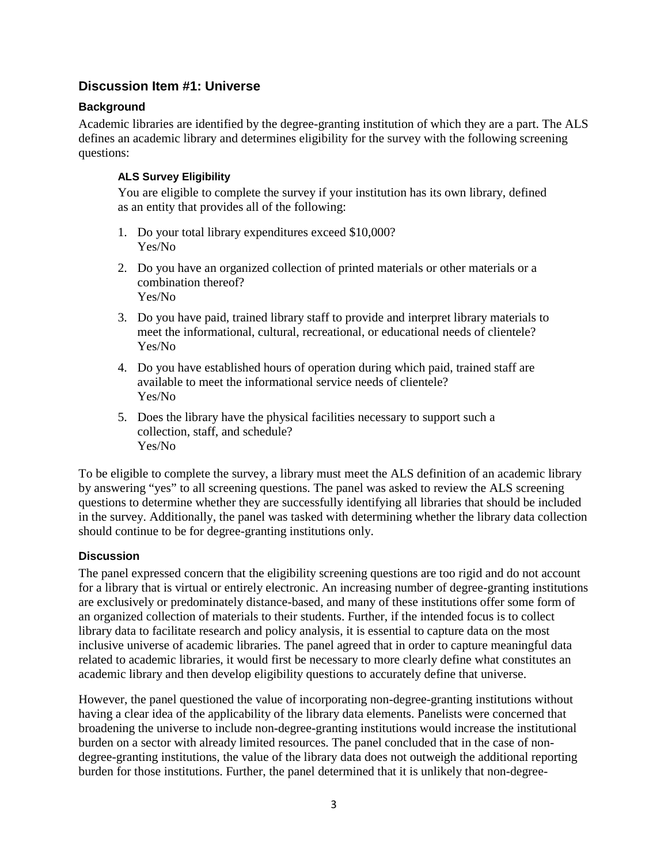# **Discussion Item #1: Universe**

# **Background**

Academic libraries are identified by the degree-granting institution of which they are a part. The ALS defines an academic library and determines eligibility for the survey with the following screening questions:

## **ALS Survey Eligibility**

You are eligible to complete the survey if your institution has its own library, defined as an entity that provides all of the following:

- 1. Do your total library expenditures exceed \$10,000? Yes/No
- 2. Do you have an organized collection of printed materials or other materials or a combination thereof? Yes/No
- 3. Do you have paid, trained library staff to provide and interpret library materials to meet the informational, cultural, recreational, or educational needs of clientele? Yes/No
- 4. Do you have established hours of operation during which paid, trained staff are available to meet the informational service needs of clientele? Yes/No
- 5. Does the library have the physical facilities necessary to support such a collection, staff, and schedule? Yes/No

To be eligible to complete the survey, a library must meet the ALS definition of an academic library by answering "yes" to all screening questions. The panel was asked to review the ALS screening questions to determine whether they are successfully identifying all libraries that should be included in the survey. Additionally, the panel was tasked with determining whether the library data collection should continue to be for degree-granting institutions only.

# **Discussion**

The panel expressed concern that the eligibility screening questions are too rigid and do not account for a library that is virtual or entirely electronic. An increasing number of degree-granting institutions are exclusively or predominately distance-based, and many of these institutions offer some form of an organized collection of materials to their students. Further, if the intended focus is to collect library data to facilitate research and policy analysis, it is essential to capture data on the most inclusive universe of academic libraries. The panel agreed that in order to capture meaningful data related to academic libraries, it would first be necessary to more clearly define what constitutes an academic library and then develop eligibility questions to accurately define that universe.

However, the panel questioned the value of incorporating non-degree-granting institutions without having a clear idea of the applicability of the library data elements. Panelists were concerned that broadening the universe to include non-degree-granting institutions would increase the institutional burden on a sector with already limited resources. The panel concluded that in the case of nondegree-granting institutions, the value of the library data does not outweigh the additional reporting burden for those institutions. Further, the panel determined that it is unlikely that non-degree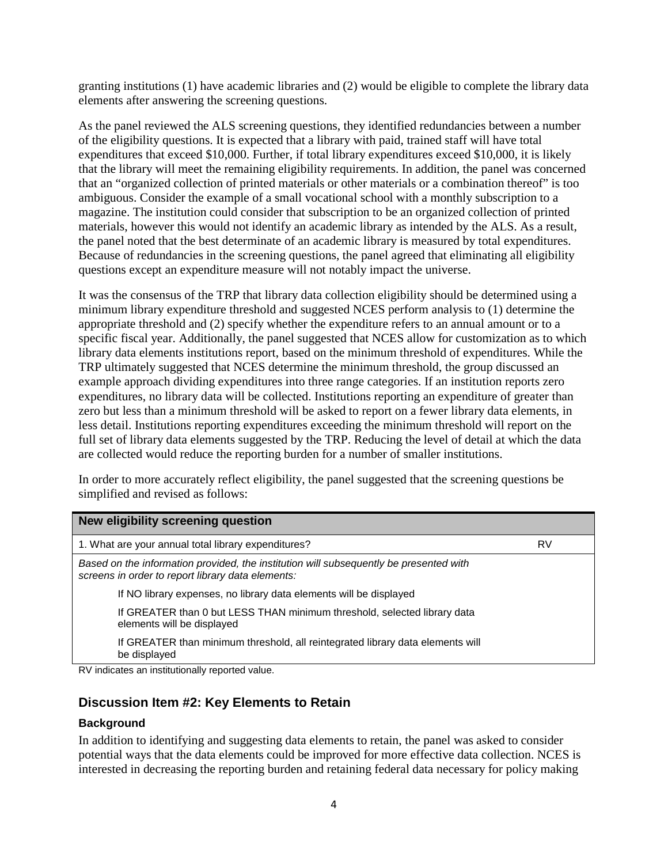granting institutions (1) have academic libraries and (2) would be eligible to complete the library data elements after answering the screening questions.

As the panel reviewed the ALS screening questions, they identified redundancies between a number of the eligibility questions. It is expected that a library with paid, trained staff will have total expenditures that exceed \$10,000. Further, if total library expenditures exceed \$10,000, it is likely that the library will meet the remaining eligibility requirements. In addition, the panel was concerned that an "organized collection of printed materials or other materials or a combination thereof" is too ambiguous. Consider the example of a small vocational school with a monthly subscription to a magazine. The institution could consider that subscription to be an organized collection of printed materials, however this would not identify an academic library as intended by the ALS. As a result, the panel noted that the best determinate of an academic library is measured by total expenditures. Because of redundancies in the screening questions, the panel agreed that eliminating all eligibility questions except an expenditure measure will not notably impact the universe.

It was the consensus of the TRP that library data collection eligibility should be determined using a minimum library expenditure threshold and suggested NCES perform analysis to (1) determine the appropriate threshold and (2) specify whether the expenditure refers to an annual amount or to a specific fiscal year. Additionally, the panel suggested that NCES allow for customization as to which library data elements institutions report, based on the minimum threshold of expenditures. While the TRP ultimately suggested that NCES determine the minimum threshold, the group discussed an example approach dividing expenditures into three range categories. If an institution reports zero expenditures, no library data will be collected. Institutions reporting an expenditure of greater than zero but less than a minimum threshold will be asked to report on a fewer library data elements, in less detail. Institutions reporting expenditures exceeding the minimum threshold will report on the full set of library data elements suggested by the TRP. Reducing the level of detail at which the data are collected would reduce the reporting burden for a number of smaller institutions.

In order to more accurately reflect eligibility, the panel suggested that the screening questions be simplified and revised as follows:

| New eligibility screening question                                                                                                          |    |
|---------------------------------------------------------------------------------------------------------------------------------------------|----|
| 1. What are your annual total library expenditures?                                                                                         | RV |
| Based on the information provided, the institution will subsequently be presented with<br>screens in order to report library data elements: |    |
| If NO library expenses, no library data elements will be displayed                                                                          |    |
| If GREATER than 0 but LESS THAN minimum threshold, selected library data<br>elements will be displayed                                      |    |
| If GREATER than minimum threshold, all reintegrated library data elements will<br>be displayed                                              |    |
| RV indicates an institutionally reported value                                                                                              |    |

RV indicates an institutionally reported value.

### **Discussion Item #2: Key Elements to Retain**

#### **Background**

In addition to identifying and suggesting data elements to retain, the panel was asked to consider potential ways that the data elements could be improved for more effective data collection. NCES is interested in decreasing the reporting burden and retaining federal data necessary for policy making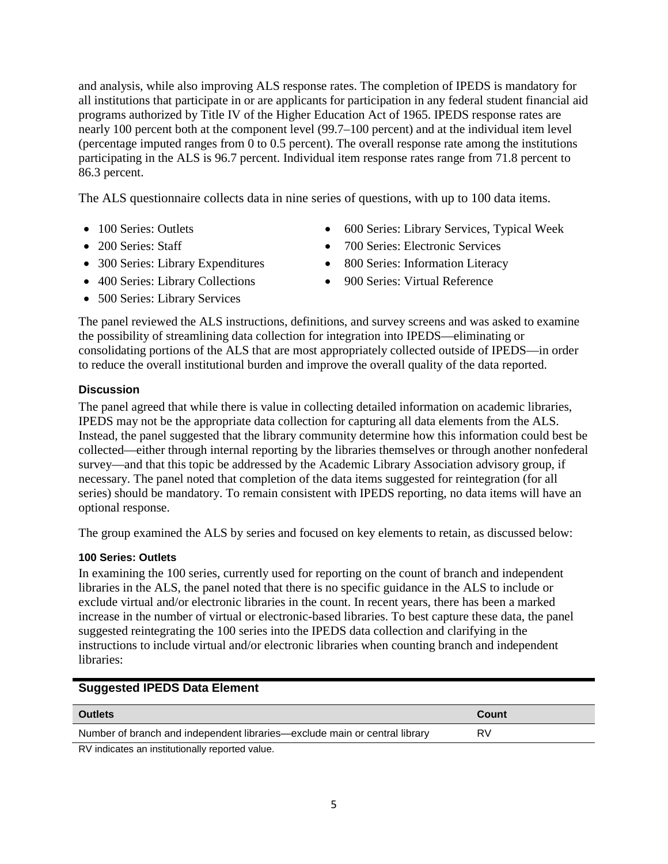and analysis, while also improving ALS response rates. The completion of IPEDS is mandatory for all institutions that participate in or are applicants for participation in any federal student financial aid programs authorized by Title IV of the Higher Education Act of 1965. IPEDS response rates are nearly 100 percent both at the component level (99.7–100 percent) and at the individual item level (percentage imputed ranges from  $\overline{0}$  to 0.5 percent). The overall response rate among the institutions participating in the ALS is 96.7 percent. Individual item response rates range from 71.8 percent to 86.3 percent.

The ALS questionnaire collects data in nine series of questions, with up to 100 data items.

- 
- 
- 300 Series: Library Expenditures 800 Series: Information Literacy
- 400 Series: Library Collections 900 Series: Virtual Reference
- 500 Series: Library Services
- 100 Series: Outlets 600 Series: Library Services, Typical Week
- 200 Series: Staff 700 Series: Electronic Services
	-
	-

The panel reviewed the ALS instructions, definitions, and survey screens and was asked to examine the possibility of streamlining data collection for integration into IPEDS—eliminating or consolidating portions of the ALS that are most appropriately collected outside of IPEDS—in order to reduce the overall institutional burden and improve the overall quality of the data reported.

### **Discussion**

The panel agreed that while there is value in collecting detailed information on academic libraries, IPEDS may not be the appropriate data collection for capturing all data elements from the ALS. Instead, the panel suggested that the library community determine how this information could best be collected—either through internal reporting by the libraries themselves or through another nonfederal survey—and that this topic be addressed by the Academic Library Association advisory group, if necessary. The panel noted that completion of the data items suggested for reintegration (for all series) should be mandatory. To remain consistent with IPEDS reporting, no data items will have an optional response.

The group examined the ALS by series and focused on key elements to retain, as discussed below:

# **100 Series: Outlets**

In examining the 100 series, currently used for reporting on the count of branch and independent libraries in the ALS, the panel noted that there is no specific guidance in the ALS to include or exclude virtual and/or electronic libraries in the count. In recent years, there has been a marked increase in the number of virtual or electronic-based libraries. To best capture these data, the panel suggested reintegrating the 100 series into the IPEDS data collection and clarifying in the instructions to include virtual and/or electronic libraries when counting branch and independent libraries:

### **Suggested IPEDS Data Element**

| <b>Outlets</b>                                                             | Count |
|----------------------------------------------------------------------------|-------|
| Number of branch and independent libraries—exclude main or central library | RV    |
| RV indicates an institutionally reported value.                            |       |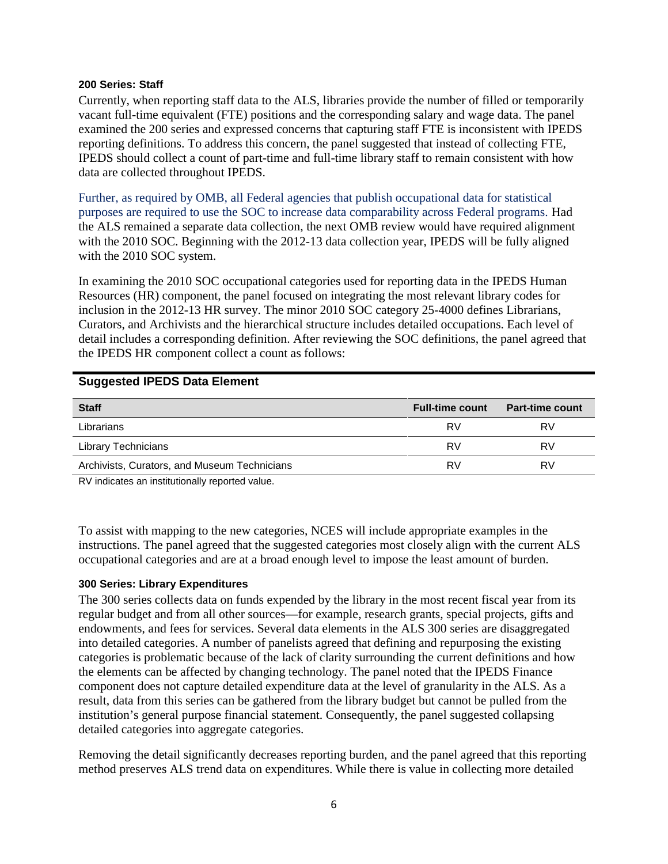#### **200 Series: Staff**

Currently, when reporting staff data to the ALS, libraries provide the number of filled or temporarily vacant full-time equivalent (FTE) positions and the corresponding salary and wage data. The panel examined the 200 series and expressed concerns that capturing staff FTE is inconsistent with IPEDS reporting definitions. To address this concern, the panel suggested that instead of collecting FTE, IPEDS should collect a count of part-time and full-time library staff to remain consistent with how data are collected throughout IPEDS.

Further, as required by OMB, all Federal agencies that publish occupational data for statistical purposes are required to use the SOC to increase data comparability across Federal programs. Had the ALS remained a separate data collection, the next OMB review would have required alignment with the 2010 SOC. Beginning with the 2012-13 data collection year, IPEDS will be fully aligned with the 2010 SOC system.

In examining the 2010 SOC occupational categories used for reporting data in the IPEDS Human Resources (HR) component, the panel focused on integrating the most relevant library codes for inclusion in the 2012-13 HR survey. The minor 2010 SOC category 25-4000 defines Librarians, Curators, and Archivists and the hierarchical structure includes detailed occupations. Each level of detail includes a corresponding definition. After reviewing the SOC definitions, the panel agreed that the IPEDS HR component collect a count as follows:

### **Suggested IPEDS Data Element**

| <b>Staff</b>                                 | <b>Full-time count</b> | <b>Part-time count</b> |
|----------------------------------------------|------------------------|------------------------|
| Librarians                                   | RV                     | RV                     |
| <b>Library Technicians</b>                   | RV                     | RV                     |
| Archivists, Curators, and Museum Technicians | RV                     | RV                     |
|                                              |                        |                        |

RV indicates an institutionally reported value.

To assist with mapping to the new categories, NCES will include appropriate examples in the instructions. The panel agreed that the suggested categories most closely align with the current ALS occupational categories and are at a broad enough level to impose the least amount of burden.

#### **300 Series: Library Expenditures**

The 300 series collects data on funds expended by the library in the most recent fiscal year from its regular budget and from all other sources—for example, research grants, special projects, gifts and endowments, and fees for services. Several data elements in the ALS 300 series are disaggregated into detailed categories. A number of panelists agreed that defining and repurposing the existing categories is problematic because of the lack of clarity surrounding the current definitions and how the elements can be affected by changing technology. The panel noted that the IPEDS Finance component does not capture detailed expenditure data at the level of granularity in the ALS. As a result, data from this series can be gathered from the library budget but cannot be pulled from the institution's general purpose financial statement. Consequently, the panel suggested collapsing detailed categories into aggregate categories.

Removing the detail significantly decreases reporting burden, and the panel agreed that this reporting method preserves ALS trend data on expenditures. While there is value in collecting more detailed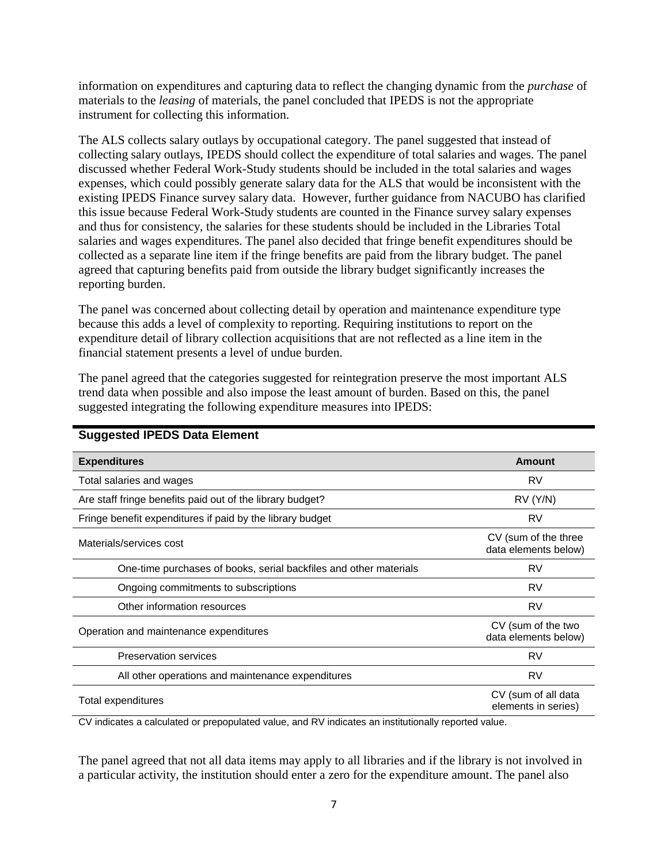information on expenditures and capturing data to reflect the changing dynamic from the *purchase* of materials to the *leasing* of materials, the panel concluded that IPEDS is not the appropriate instrument for collecting this information.

The ALS collects salary outlays by occupational category. The panel suggested that instead of collecting salary outlays, IPEDS should collect the expenditure of total salaries and wages. The panel discussed whether Federal Work-Study students should be included in the total salaries and wages expenses, which could possibly generate salary data for the ALS that would be inconsistent with the existing IPEDS Finance survey salary data. However, further guidance from NACUBO has clarified this issue because Federal Work-Study students are counted in the Finance survey salary expenses and thus for consistency, the salaries for these students should be included in the Libraries Total salaries and wages expenditures. The panel also decided that fringe benefit expenditures should be collected as a separate line item if the fringe benefits are paid from the library budget. The panel agreed that capturing benefits paid from outside the library budget significantly increases the reporting burden.

The panel was concerned about collecting detail by operation and maintenance expenditure type because this adds a level of complexity to reporting. Requiring institutions to report on the expenditure detail of library collection acquisitions that are not reflected as a line item in the financial statement presents a level of undue burden.

The panel agreed that the categories suggested for reintegration preserve the most important ALS trend data when possible and also impose the least amount of burden. Based on this, the panel suggested integrating the following expenditure measures into IPEDS:

| <b>Expenditures</b>                                               | Amount                                       |
|-------------------------------------------------------------------|----------------------------------------------|
| Total salaries and wages                                          | RV                                           |
| Are staff fringe benefits paid out of the library budget?         | RV(Y/N)                                      |
| Fringe benefit expenditures if paid by the library budget         | RV                                           |
| Materials/services cost                                           | CV (sum of the three<br>data elements below) |
| One-time purchases of books, serial backfiles and other materials | <b>RV</b>                                    |
| Ongoing commitments to subscriptions                              | <b>RV</b>                                    |
| Other information resources                                       | <b>RV</b>                                    |
| Operation and maintenance expenditures                            | CV (sum of the two<br>data elements below)   |
| <b>Preservation services</b>                                      | <b>RV</b>                                    |
| All other operations and maintenance expenditures                 | RV                                           |
| Total expenditures                                                | CV (sum of all data<br>elements in series)   |

### **Suggested IPEDS Data Element**

CV indicates a calculated or prepopulated value, and RV indicates an institutionally reported value.

The panel agreed that not all data items may apply to all libraries and if the library is not involved in a particular activity, the institution should enter a zero for the expenditure amount. The panel also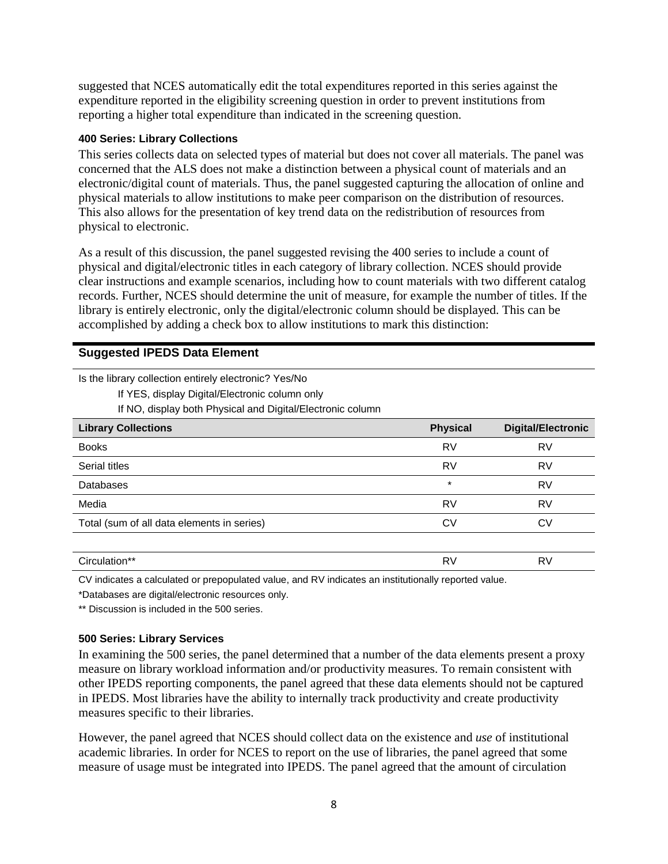suggested that NCES automatically edit the total expenditures reported in this series against the expenditure reported in the eligibility screening question in order to prevent institutions from reporting a higher total expenditure than indicated in the screening question.

#### **400 Series: Library Collections**

This series collects data on selected types of material but does not cover all materials. The panel was concerned that the ALS does not make a distinction between a physical count of materials and an electronic/digital count of materials. Thus, the panel suggested capturing the allocation of online and physical materials to allow institutions to make peer comparison on the distribution of resources. This also allows for the presentation of key trend data on the redistribution of resources from physical to electronic.

As a result of this discussion, the panel suggested revising the 400 series to include a count of physical and digital/electronic titles in each category of library collection. NCES should provide clear instructions and example scenarios, including how to count materials with two different catalog records. Further, NCES should determine the unit of measure, for example the number of titles. If the library is entirely electronic, only the digital/electronic column should be displayed. This can be accomplished by adding a check box to allow institutions to mark this distinction:

### **Suggested IPEDS Data Element**

Is the library collection entirely electronic? Yes/No

If YES, display Digital/Electronic column only

If NO, display both Physical and Digital/Electronic column

| <b>Library Collections</b>                 | <b>Physical</b> | <b>Digital/Electronic</b> |
|--------------------------------------------|-----------------|---------------------------|
| <b>Books</b>                               | RV              | RV                        |
| Serial titles                              | <b>RV</b>       | RV                        |
| <b>Databases</b>                           | $\star$         | <b>RV</b>                 |
| Media                                      | RV              | RV                        |
| Total (sum of all data elements in series) | CV              | CV                        |
|                                            |                 |                           |
| Circulation**                              | RV              | RV                        |

CV indicates a calculated or prepopulated value, and RV indicates an institutionally reported value.

\*Databases are digital/electronic resources only.

\*\* Discussion is included in the 500 series.

#### **500 Series: Library Services**

In examining the 500 series, the panel determined that a number of the data elements present a proxy measure on library workload information and/or productivity measures. To remain consistent with other IPEDS reporting components, the panel agreed that these data elements should not be captured in IPEDS. Most libraries have the ability to internally track productivity and create productivity measures specific to their libraries.

However, the panel agreed that NCES should collect data on the existence and *use* of institutional academic libraries. In order for NCES to report on the use of libraries, the panel agreed that some measure of usage must be integrated into IPEDS. The panel agreed that the amount of circulation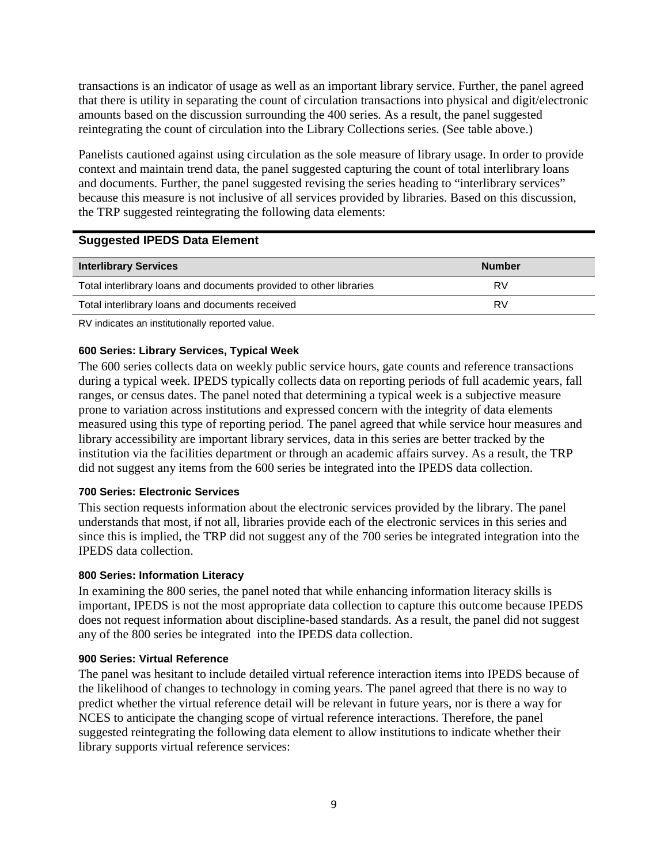transactions is an indicator of usage as well as an important library service. Further, the panel agreed that there is utility in separating the count of circulation transactions into physical and digit/electronic amounts based on the discussion surrounding the 400 series. As a result, the panel suggested reintegrating the count of circulation into the Library Collections series. (See table above.)

Panelists cautioned against using circulation as the sole measure of library usage. In order to provide context and maintain trend data, the panel suggested capturing the count of total interlibrary loans and documents. Further, the panel suggested revising the series heading to "interlibrary services" because this measure is not inclusive of all services provided by libraries. Based on this discussion, the TRP suggested reintegrating the following data elements:

### **Suggested IPEDS Data Element**

| <b>Interlibrary Services</b>                                       | <b>Number</b> |
|--------------------------------------------------------------------|---------------|
| Total interlibrary loans and documents provided to other libraries | RV            |
| Total interlibrary loans and documents received                    | RV            |

RV indicates an institutionally reported value.

### **600 Series: Library Services, Typical Week**

The 600 series collects data on weekly public service hours, gate counts and reference transactions during a typical week. IPEDS typically collects data on reporting periods of full academic years, fall ranges, or census dates. The panel noted that determining a typical week is a subjective measure prone to variation across institutions and expressed concern with the integrity of data elements measured using this type of reporting period. The panel agreed that while service hour measures and library accessibility are important library services, data in this series are better tracked by the institution via the facilities department or through an academic affairs survey. As a result, the TRP did not suggest any items from the 600 series be integrated into the IPEDS data collection.

#### **700 Series: Electronic Services**

This section requests information about the electronic services provided by the library. The panel understands that most, if not all, libraries provide each of the electronic services in this series and since this is implied, the TRP did not suggest any of the 700 series be integrated integration into the IPEDS data collection.

#### **800 Series: Information Literacy**

In examining the 800 series, the panel noted that while enhancing information literacy skills is important, IPEDS is not the most appropriate data collection to capture this outcome because IPEDS does not request information about discipline-based standards. As a result, the panel did not suggest any of the 800 series be integrated into the IPEDS data collection.

#### **900 Series: Virtual Reference**

The panel was hesitant to include detailed virtual reference interaction items into IPEDS because of the likelihood of changes to technology in coming years. The panel agreed that there is no way to predict whether the virtual reference detail will be relevant in future years, nor is there a way for NCES to anticipate the changing scope of virtual reference interactions. Therefore, the panel suggested reintegrating the following data element to allow institutions to indicate whether their library supports virtual reference services: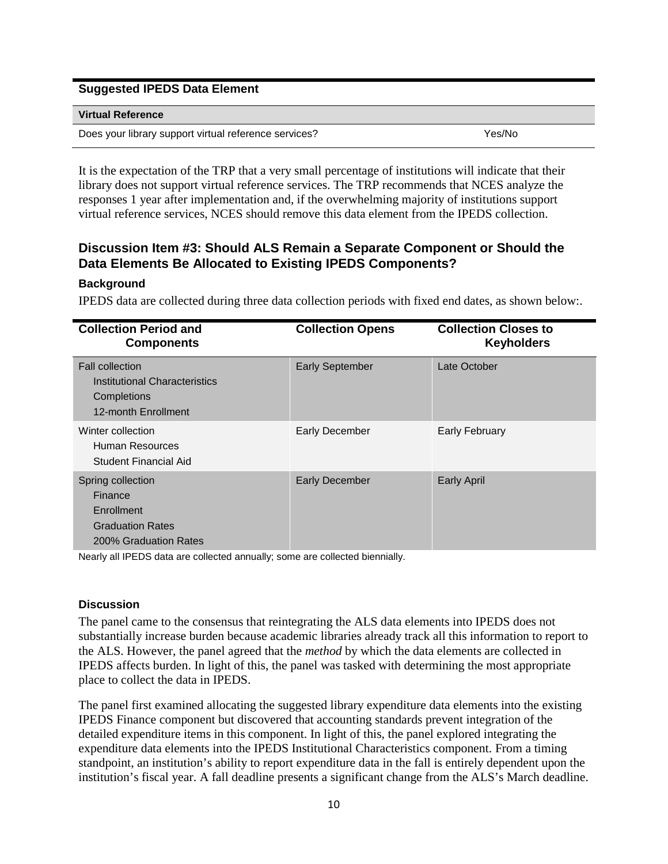#### **Suggested IPEDS Data Element**

#### **Virtual Reference**

Does your library support virtual reference services? The Manuson Cheen Mess Yes/No

It is the expectation of the TRP that a very small percentage of institutions will indicate that their library does not support virtual reference services. The TRP recommends that NCES analyze the responses 1 year after implementation and, if the overwhelming majority of institutions support virtual reference services, NCES should remove this data element from the IPEDS collection.

# **Discussion Item #3: Should ALS Remain a Separate Component or Should the Data Elements Be Allocated to Existing IPEDS Components?**

### **Background**

IPEDS data are collected during three data collection periods with fixed end dates, as shown below:.

| <b>Collection Period and</b><br><b>Components</b>                                              | <b>Collection Opens</b> | <b>Collection Closes to</b><br><b>Keyholders</b> |
|------------------------------------------------------------------------------------------------|-------------------------|--------------------------------------------------|
| <b>Fall collection</b><br>Institutional Characteristics<br>Completions<br>12-month Enrollment  | <b>Early September</b>  | Late October                                     |
| Winter collection<br>Human Resources<br>Student Financial Aid                                  | <b>Early December</b>   | <b>Early February</b>                            |
| Spring collection<br>Finance<br>Enrollment<br><b>Graduation Rates</b><br>200% Graduation Rates | <b>Early December</b>   | <b>Early April</b>                               |

Nearly all IPEDS data are collected annually; some are collected biennially.

#### **Discussion**

The panel came to the consensus that reintegrating the ALS data elements into IPEDS does not substantially increase burden because academic libraries already track all this information to report to the ALS. However, the panel agreed that the *method* by which the data elements are collected in IPEDS affects burden. In light of this, the panel was tasked with determining the most appropriate place to collect the data in IPEDS.

The panel first examined allocating the suggested library expenditure data elements into the existing IPEDS Finance component but discovered that accounting standards prevent integration of the detailed expenditure items in this component. In light of this, the panel explored integrating the expenditure data elements into the IPEDS Institutional Characteristics component. From a timing standpoint, an institution's ability to report expenditure data in the fall is entirely dependent upon the institution's fiscal year. A fall deadline presents a significant change from the ALS's March deadline.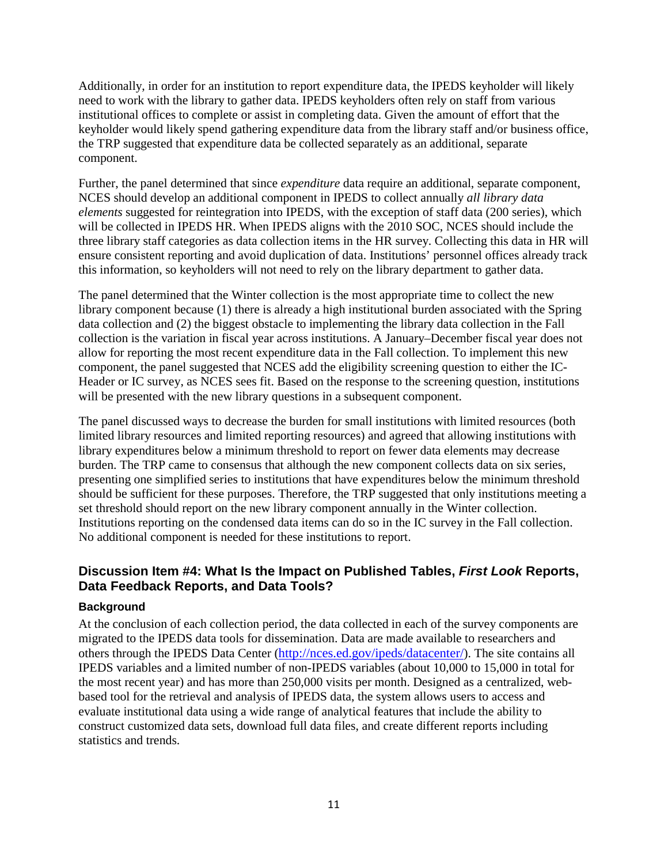Additionally, in order for an institution to report expenditure data, the IPEDS keyholder will likely need to work with the library to gather data. IPEDS keyholders often rely on staff from various institutional offices to complete or assist in completing data. Given the amount of effort that the keyholder would likely spend gathering expenditure data from the library staff and/or business office, the TRP suggested that expenditure data be collected separately as an additional, separate component.

Further, the panel determined that since *expenditure* data require an additional, separate component, NCES should develop an additional component in IPEDS to collect annually *all library data elements* suggested for reintegration into IPEDS, with the exception of staff data (200 series), which will be collected in IPEDS HR. When IPEDS aligns with the 2010 SOC, NCES should include the three library staff categories as data collection items in the HR survey. Collecting this data in HR will ensure consistent reporting and avoid duplication of data. Institutions' personnel offices already track this information, so keyholders will not need to rely on the library department to gather data.

The panel determined that the Winter collection is the most appropriate time to collect the new library component because (1) there is already a high institutional burden associated with the Spring data collection and (2) the biggest obstacle to implementing the library data collection in the Fall collection is the variation in fiscal year across institutions. A January–December fiscal year does not allow for reporting the most recent expenditure data in the Fall collection. To implement this new component, the panel suggested that NCES add the eligibility screening question to either the IC-Header or IC survey, as NCES sees fit. Based on the response to the screening question, institutions will be presented with the new library questions in a subsequent component.

The panel discussed ways to decrease the burden for small institutions with limited resources (both limited library resources and limited reporting resources) and agreed that allowing institutions with library expenditures below a minimum threshold to report on fewer data elements may decrease burden. The TRP came to consensus that although the new component collects data on six series, presenting one simplified series to institutions that have expenditures below the minimum threshold should be sufficient for these purposes. Therefore, the TRP suggested that only institutions meeting a set threshold should report on the new library component annually in the Winter collection. Institutions reporting on the condensed data items can do so in the IC survey in the Fall collection. No additional component is needed for these institutions to report.

# **Discussion Item #4: What Is the Impact on Published Tables,** *First Look* **Reports, Data Feedback Reports, and Data Tools?**

### **Background**

At the conclusion of each collection period, the data collected in each of the survey components are migrated to the IPEDS data tools for dissemination. Data are made available to researchers and others through the IPEDS Data Center [\(http://nces.ed.gov/ipeds/datacenter/\)](http://nces.ed.gov/ipeds/datacenter/). The site contains all IPEDS variables and a limited number of non-IPEDS variables (about 10,000 to 15,000 in total for the most recent year) and has more than 250,000 visits per month. Designed as a centralized, webbased tool for the retrieval and analysis of IPEDS data, the system allows users to access and evaluate institutional data using a wide range of analytical features that include the ability to construct customized data sets, download full data files, and create different reports including statistics and trends.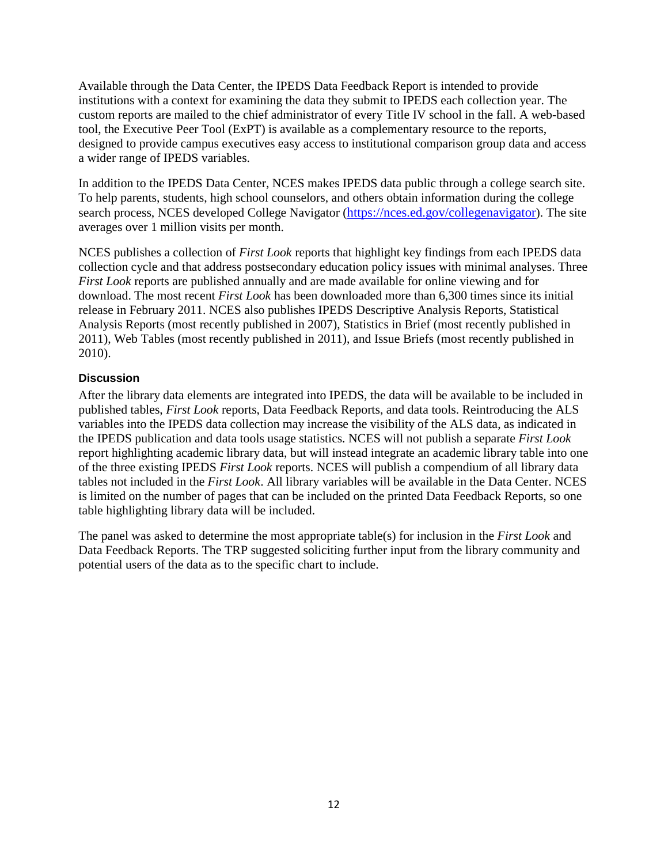Available through the Data Center, the IPEDS Data Feedback Report is intended to provide institutions with a context for examining the data they submit to IPEDS each collection year. The custom reports are mailed to the chief administrator of every Title IV school in the fall. A web-based tool, the Executive Peer Tool (ExPT) is available as a complementary resource to the reports, designed to provide campus executives easy access to institutional comparison group data and access a wider range of IPEDS variables.

In addition to the IPEDS Data Center, NCES makes IPEDS data public through a college search site. To help parents, students, high school counselors, and others obtain information during the college search process, NCES developed College Navigator [\(https://nces.ed.gov/collegenavigator\)](https://nces.ed.gov/collegenavigator). The site averages over 1 million visits per month.

NCES publishes a collection of *First Look* reports that highlight key findings from each IPEDS data collection cycle and that address postsecondary education policy issues with minimal analyses. Three *First Look* reports are published annually and are made available for online viewing and for download. The most recent *First Look* has been downloaded more than 6,300 times since its initial release in February 2011. NCES also publishes IPEDS Descriptive Analysis Reports, Statistical Analysis Reports (most recently published in 2007), Statistics in Brief (most recently published in 2011), Web Tables (most recently published in 2011), and Issue Briefs (most recently published in 2010).

### **Discussion**

After the library data elements are integrated into IPEDS, the data will be available to be included in published tables, *First Look* reports, Data Feedback Reports, and data tools. Reintroducing the ALS variables into the IPEDS data collection may increase the visibility of the ALS data, as indicated in the IPEDS publication and data tools usage statistics. NCES will not publish a separate *First Look* report highlighting academic library data, but will instead integrate an academic library table into one of the three existing IPEDS *First Look* reports. NCES will publish a compendium of all library data tables not included in the *First Look*. All library variables will be available in the Data Center. NCES is limited on the number of pages that can be included on the printed Data Feedback Reports, so one table highlighting library data will be included.

The panel was asked to determine the most appropriate table(s) for inclusion in the *First Look* and Data Feedback Reports. The TRP suggested soliciting further input from the library community and potential users of the data as to the specific chart to include.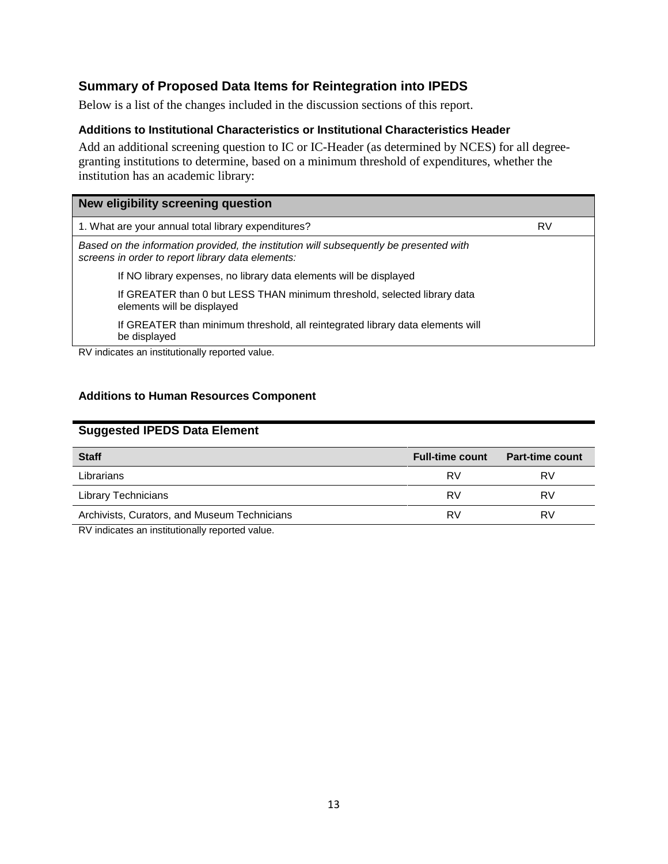# **Summary of Proposed Data Items for Reintegration into IPEDS**

Below is a list of the changes included in the discussion sections of this report.

#### **Additions to Institutional Characteristics or Institutional Characteristics Header**

Add an additional screening question to IC or IC-Header (as determined by NCES) for all degreegranting institutions to determine, based on a minimum threshold of expenditures, whether the institution has an academic library:

| New eligibility screening question                                                                                                          |    |
|---------------------------------------------------------------------------------------------------------------------------------------------|----|
| 1. What are your annual total library expenditures?                                                                                         | RV |
| Based on the information provided, the institution will subsequently be presented with<br>screens in order to report library data elements: |    |
| If NO library expenses, no library data elements will be displayed                                                                          |    |
| If GREATER than 0 but LESS THAN minimum threshold, selected library data<br>elements will be displayed                                      |    |
| If GREATER than minimum threshold, all reintegrated library data elements will<br>be displayed                                              |    |
| RV indicates an institutionally reported value.                                                                                             |    |

### **Additions to Human Resources Component**

# **Suggested IPEDS Data Element**

| <b>Staff</b>                                 | <b>Full-time count</b> | <b>Part-time count</b> |
|----------------------------------------------|------------------------|------------------------|
| Librarians                                   | RV                     | RV                     |
| <b>Library Technicians</b>                   | RV                     | RV                     |
| Archivists, Curators, and Museum Technicians | RV                     | RV                     |
| $\cdots$                                     |                        |                        |

RV indicates an institutionally reported value.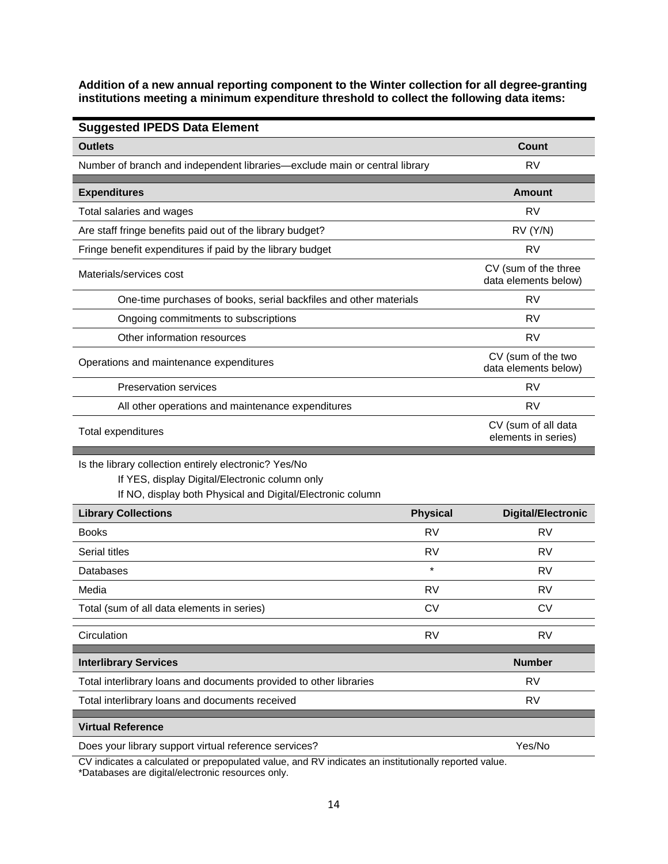**Addition of a new annual reporting component to the Winter collection for all degree-granting institutions meeting a minimum expenditure threshold to collect the following data items:**

| <b>Suggested IPEDS Data Element</b>                                                                                                                                   |                 |                                              |
|-----------------------------------------------------------------------------------------------------------------------------------------------------------------------|-----------------|----------------------------------------------|
| <b>Outlets</b>                                                                                                                                                        |                 | Count                                        |
| Number of branch and independent libraries—exclude main or central library                                                                                            |                 | <b>RV</b>                                    |
| <b>Expenditures</b>                                                                                                                                                   |                 | <b>Amount</b>                                |
| Total salaries and wages                                                                                                                                              |                 | <b>RV</b>                                    |
| Are staff fringe benefits paid out of the library budget?                                                                                                             |                 | RV (Y/N)                                     |
| Fringe benefit expenditures if paid by the library budget                                                                                                             |                 | <b>RV</b>                                    |
| Materials/services cost                                                                                                                                               |                 | CV (sum of the three<br>data elements below) |
| One-time purchases of books, serial backfiles and other materials                                                                                                     |                 | <b>RV</b>                                    |
| Ongoing commitments to subscriptions                                                                                                                                  |                 | <b>RV</b>                                    |
| Other information resources                                                                                                                                           |                 | <b>RV</b>                                    |
| Operations and maintenance expenditures                                                                                                                               |                 | CV (sum of the two<br>data elements below)   |
| <b>Preservation services</b>                                                                                                                                          |                 | RV                                           |
| All other operations and maintenance expenditures                                                                                                                     |                 | <b>RV</b>                                    |
| Total expenditures                                                                                                                                                    |                 | CV (sum of all data<br>elements in series)   |
| Is the library collection entirely electronic? Yes/No<br>If YES, display Digital/Electronic column only<br>If NO, display both Physical and Digital/Electronic column |                 |                                              |
| <b>Library Collections</b>                                                                                                                                            | <b>Physical</b> | <b>Digital/Electronic</b>                    |
| <b>Books</b>                                                                                                                                                          | <b>RV</b>       | <b>RV</b>                                    |
| Serial titles                                                                                                                                                         | <b>RV</b>       | <b>RV</b>                                    |
| Databases                                                                                                                                                             | $\star$         | <b>RV</b>                                    |
| Media                                                                                                                                                                 | <b>RV</b>       | <b>RV</b>                                    |
| Total (sum of all data elements in series)                                                                                                                            | <b>CV</b>       | <b>CV</b>                                    |
| Circulation                                                                                                                                                           | <b>RV</b>       | <b>RV</b>                                    |
| <b>Interlibrary Services</b>                                                                                                                                          |                 | <b>Number</b>                                |
| Total interlibrary loans and documents provided to other libraries                                                                                                    |                 | RV                                           |
| Total interlibrary loans and documents received                                                                                                                       |                 | <b>RV</b>                                    |
| <b>Virtual Reference</b>                                                                                                                                              |                 |                                              |
| Does your library support virtual reference services?                                                                                                                 |                 | Yes/No                                       |

CV indicates a calculated or prepopulated value, and RV indicates an institutionally reported value. \*Databases are digital/electronic resources only.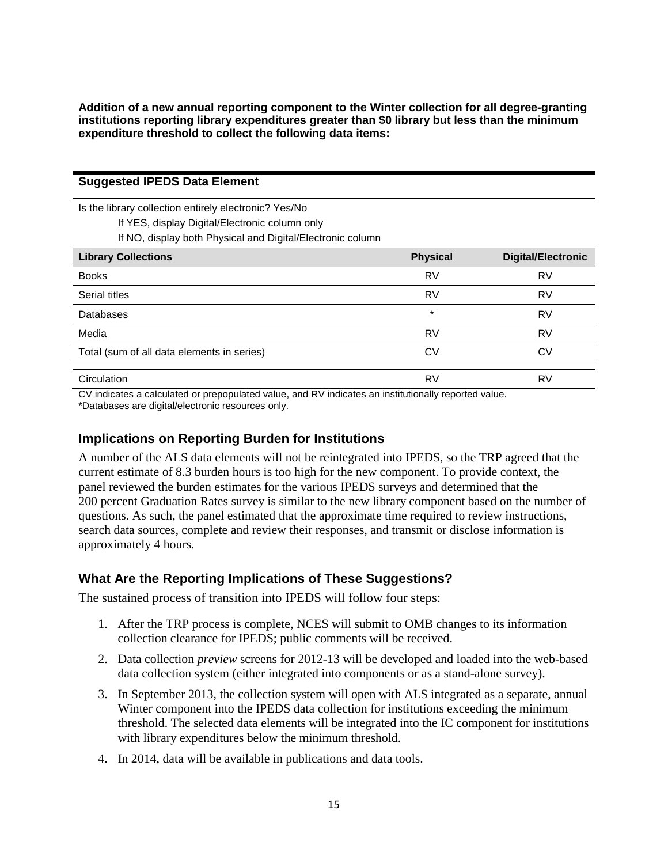**Addition of a new annual reporting component to the Winter collection for all degree-granting institutions reporting library expenditures greater than \$0 library but less than the minimum expenditure threshold to collect the following data items:**

| <b>Suggested IPEDS Data Element</b> |  |  |
|-------------------------------------|--|--|
|-------------------------------------|--|--|

Is the library collection entirely electronic? Yes/No

If YES, display Digital/Electronic column only

If NO, display both Physical and Digital/Electronic column

| <b>Library Collections</b>                 | <b>Physical</b> | <b>Digital/Electronic</b> |
|--------------------------------------------|-----------------|---------------------------|
| <b>Books</b>                               | RV              | RV                        |
| Serial titles                              | <b>RV</b>       | RV                        |
| <b>Databases</b>                           | $\star$         | RV                        |
| Media                                      | RV              | RV                        |
| Total (sum of all data elements in series) | CV              | CV                        |
|                                            |                 |                           |
| Circulation                                | RV              | RV                        |

CV indicates a calculated or prepopulated value, and RV indicates an institutionally reported value. \*Databases are digital/electronic resources only.

# **Implications on Reporting Burden for Institutions**

A number of the ALS data elements will not be reintegrated into IPEDS, so the TRP agreed that the current estimate of 8.3 burden hours is too high for the new component. To provide context, the panel reviewed the burden estimates for the various IPEDS surveys and determined that the 200 percent Graduation Rates survey is similar to the new library component based on the number of questions. As such, the panel estimated that the approximate time required to review instructions, search data sources, complete and review their responses, and transmit or disclose information is approximately 4 hours.

# **What Are the Reporting Implications of These Suggestions?**

The sustained process of transition into IPEDS will follow four steps:

- 1. After the TRP process is complete, NCES will submit to OMB changes to its information collection clearance for IPEDS; public comments will be received.
- 2. Data collection *preview* screens for 2012-13 will be developed and loaded into the web-based data collection system (either integrated into components or as a stand-alone survey).
- 3. In September 2013, the collection system will open with ALS integrated as a separate, annual Winter component into the IPEDS data collection for institutions exceeding the minimum threshold. The selected data elements will be integrated into the IC component for institutions with library expenditures below the minimum threshold.
- 4. In 2014, data will be available in publications and data tools.